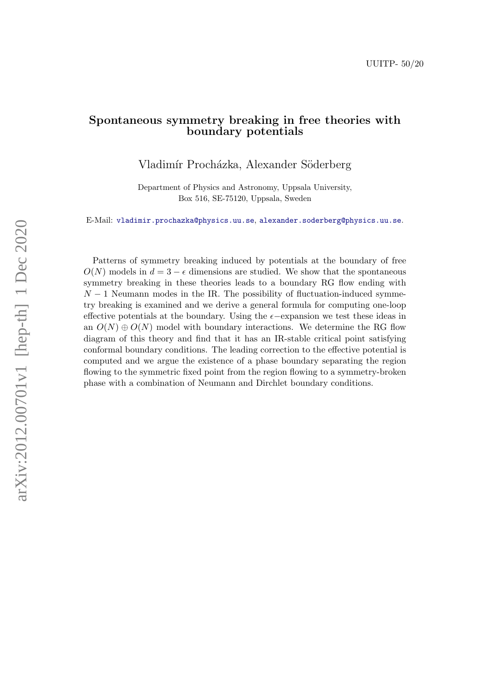### Spontaneous symmetry breaking in free theories with boundary potentials

Vladimír Procházka, Alexander Söderberg

Department of Physics and Astronomy, Uppsala University, Box 516, SE-75120, Uppsala, Sweden

E-Mail: [vladimir.prochazka@physics.uu.se](mailto:vladimir.prochazka@physics.uu.se), [alexander.soderberg@physics.uu.se](mailto:alexander.soderberg@physics.uu.se).

Patterns of symmetry breaking induced by potentials at the boundary of free  $O(N)$  models in  $d = 3 - \epsilon$  dimensions are studied. We show that the spontaneous symmetry breaking in these theories leads to a boundary RG flow ending with  $N-1$  Neumann modes in the IR. The possibility of fluctuation-induced symmetry breaking is examined and we derive a general formula for computing one-loop effective potentials at the boundary. Using the  $\epsilon$ -expansion we test these ideas in an  $O(N) \oplus O(N)$  model with boundary interactions. We determine the RG flow diagram of this theory and find that it has an IR-stable critical point satisfying conformal boundary conditions. The leading correction to the effective potential is computed and we argue the existence of a phase boundary separating the region flowing to the symmetric fixed point from the region flowing to a symmetry-broken phase with a combination of Neumann and Dirchlet boundary conditions.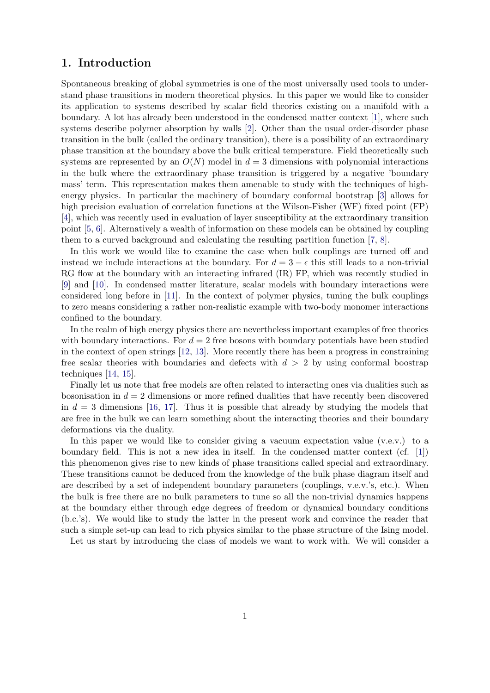# 1. Introduction

Spontaneous breaking of global symmetries is one of the most universally used tools to understand phase transitions in modern theoretical physics. In this paper we would like to consider its application to systems described by scalar field theories existing on a manifold with a boundary. A lot has already been understood in the condensed matter context [\[1\]](#page-16-0), where such systems describe polymer absorption by walls [\[2\]](#page-16-1). Other than the usual order-disorder phase transition in the bulk (called the ordinary transition), there is a possibility of an extraordinary phase transition at the boundary above the bulk critical temperature. Field theoretically such systems are represented by an  $O(N)$  model in  $d=3$  dimensions with polynomial interactions in the bulk where the extraordinary phase transition is triggered by a negative 'boundary mass' term. This representation makes them amenable to study with the techniques of highenergy physics. In particular the machinery of boundary conformal bootstrap [\[3\]](#page-16-2) allows for high precision evaluation of correlation functions at the Wilson-Fisher (WF) fixed point (FP) [\[4\]](#page-16-3), which was recently used in evaluation of layer susceptibility at the extraordinary transition point [\[5,](#page-16-4) [6\]](#page-16-5). Alternatively a wealth of information on these models can be obtained by coupling them to a curved background and calculating the resulting partition function [\[7,](#page-16-6) [8\]](#page-16-7).

In this work we would like to examine the case when bulk couplings are turned off and instead we include interactions at the boundary. For  $d = 3 - \epsilon$  this still leads to a non-trivial RG flow at the boundary with an interacting infrared (IR) FP, which was recently studied in [\[9\]](#page-16-8) and [\[10\]](#page-16-9). In condensed matter literature, scalar models with boundary interactions were considered long before in [\[11\]](#page-16-10). In the context of polymer physics, tuning the bulk couplings to zero means considering a rather non-realistic example with two-body monomer interactions confined to the boundary.

In the realm of high energy physics there are nevertheless important examples of free theories with boundary interactions. For  $d = 2$  free bosons with boundary potentials have been studied in the context of open strings [\[12,](#page-16-11) [13\]](#page-16-12). More recently there has been a progress in constraining free scalar theories with boundaries and defects with  $d > 2$  by using conformal boostrap techniques [\[14,](#page-16-13) [15\]](#page-16-14).

Finally let us note that free models are often related to interacting ones via dualities such as bosonisation in  $d = 2$  dimensions or more refined dualities that have recently been discovered in  $d = 3$  dimensions [\[16,](#page-16-15) [17\]](#page-16-16). Thus it is possible that already by studying the models that are free in the bulk we can learn something about the interacting theories and their boundary deformations via the duality.

In this paper we would like to consider giving a vacuum expectation value (v.e.v.) to a boundary field. This is not a new idea in itself. In the condensed matter context (cf. [\[1\]](#page-16-0)) this phenomenon gives rise to new kinds of phase transitions called special and extraordinary. These transitions cannot be deduced from the knowledge of the bulk phase diagram itself and are described by a set of independent boundary parameters (couplings, v.e.v.'s, etc.). When the bulk is free there are no bulk parameters to tune so all the non-trivial dynamics happens at the boundary either through edge degrees of freedom or dynamical boundary conditions (b.c.'s). We would like to study the latter in the present work and convince the reader that such a simple set-up can lead to rich physics similar to the phase structure of the Ising model.

Let us start by introducing the class of models we want to work with. We will consider a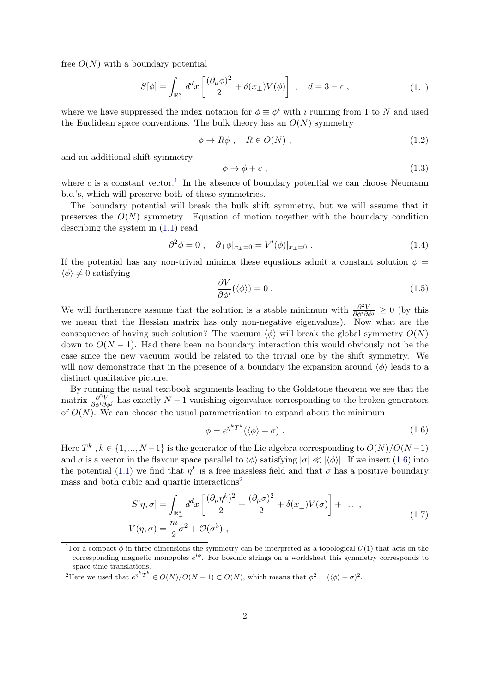free  $O(N)$  with a boundary potential

<span id="page-2-1"></span>
$$
S[\phi] = \int_{\mathbb{R}_+^d} d^d x \left[ \frac{(\partial_\mu \phi)^2}{2} + \delta(x_\perp) V(\phi) \right] , \quad d = 3 - \epsilon , \qquad (1.1)
$$

where we have suppressed the index notation for  $\phi \equiv \phi^i$  with i running from 1 to N and used the Euclidean space conventions. The bulk theory has an  $O(N)$  symmetry

$$
\phi \to R\phi \; , \quad R \in O(N) \; , \tag{1.2}
$$

and an additional shift symmetry

$$
\phi \to \phi + c \tag{1.3}
$$

where c is a constant vector.<sup>[1](#page-2-0)</sup> In the absence of boundary potential we can choose Neumann b.c.'s, which will preserve both of these symmetries.

The boundary potential will break the bulk shift symmetry, but we will assume that it preserves the  $O(N)$  symmetry. Equation of motion together with the boundary condition describing the system in [\(1.1\)](#page-2-1) read

<span id="page-2-4"></span>
$$
\partial^2 \phi = 0 \;, \quad \partial_{\perp} \phi |_{x_{\perp} = 0} = V'(\phi) |_{x_{\perp} = 0} \; . \tag{1.4}
$$

If the potential has any non-trivial minima these equations admit a constant solution  $\phi =$  $\langle \phi \rangle \neq 0$  satisfying

$$
\frac{\partial V}{\partial \phi^i}(\langle \phi \rangle) = 0 \tag{1.5}
$$

We will furthermore assume that the solution is a stable minimum with  $\frac{\partial^2 V}{\partial \phi^i \partial \phi^j} \geq 0$  (by this we mean that the Hessian matrix has only non-negative eigenvalues). Now what are the consequence of having such solution? The vacuum  $\langle \phi \rangle$  will break the global symmetry  $O(N)$ down to  $O(N-1)$ . Had there been no boundary interaction this would obviously not be the case since the new vacuum would be related to the trivial one by the shift symmetry. We will now demonstrate that in the presence of a boundary the expansion around  $\langle \phi \rangle$  leads to a distinct qualitative picture.

By running the usual textbook arguments leading to the Goldstone theorem we see that the matrix  $\frac{\partial^2 V}{\partial \phi^i \partial \phi^j}$  has exactly  $N-1$  vanishing eigenvalues corresponding to the broken generators of  $O(N)$ . We can choose the usual parametrisation to expand about the minimum

<span id="page-2-2"></span>
$$
\phi = e^{\eta^k T^k} (\langle \phi \rangle + \sigma). \tag{1.6}
$$

Here  $T^k$ ,  $k \in \{1, ..., N-1\}$  is the generator of the Lie algebra corresponding to  $O(N)/O(N-1)$ and  $\sigma$  is a vector in the flavour space parallel to  $\langle \phi \rangle$  satisfying  $|\sigma| \ll |\langle \phi \rangle|$ . If we insert [\(1.6\)](#page-2-2) into the potential [\(1.1\)](#page-2-1) we find that  $\eta^k$  is a free massless field and that  $\sigma$  has a positive boundary mass and both cubic and quartic interactions<sup>[2](#page-2-3)</sup>

$$
S[\eta, \sigma] = \int_{\mathbb{R}_+^d} d^d x \left[ \frac{(\partial_\mu \eta^k)^2}{2} + \frac{(\partial_\mu \sigma)^2}{2} + \delta(x_\perp) V(\sigma) \right] + \dots ,
$$
  
\n
$$
V(\eta, \sigma) = \frac{m}{2} \sigma^2 + \mathcal{O}(\sigma^3) ,
$$
\n(1.7)

<span id="page-2-0"></span><sup>&</sup>lt;sup>1</sup>For a compact  $\phi$  in three dimensions the symmetry can be interpreted as a topological  $U(1)$  that acts on the corresponding magnetic monopoles  $e^{i\phi}$ . For bosonic strings on a worldsheet this symmetry corresponds to space-time translations.

<span id="page-2-3"></span><sup>&</sup>lt;sup>2</sup>Here we used that  $e^{\eta^k T^k} \in O(N)/O(N-1) \subset O(N)$ , which means that  $\phi^2 = (\langle \phi \rangle + \sigma)^2$ .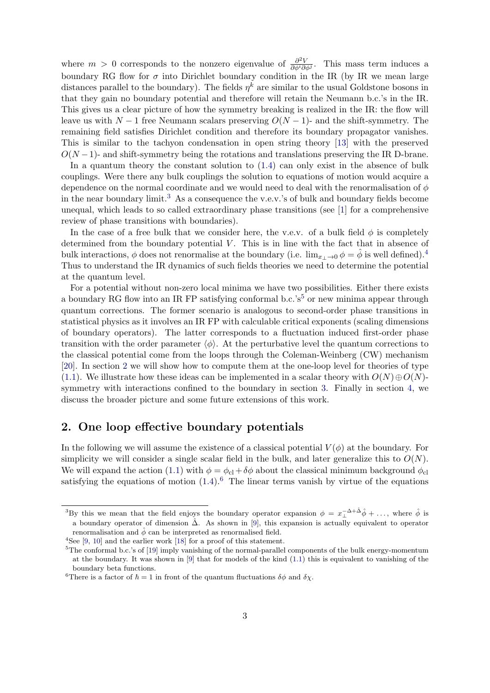where  $m > 0$  corresponds to the nonzero eigenvalue of  $\frac{\partial^2 V}{\partial \phi^i \partial \phi^i}$  $\frac{\partial^2 V}{\partial \phi^i \partial \phi^j}$ . This mass term induces a boundary RG flow for  $\sigma$  into Dirichlet boundary condition in the IR (by IR we mean large distances parallel to the boundary). The fields  $\eta^k$  are similar to the usual Goldstone bosons in that they gain no boundary potential and therefore will retain the Neumann b.c.'s in the IR. This gives us a clear picture of how the symmetry breaking is realized in the IR: the flow will leave us with  $N-1$  free Neumann scalars preserving  $O(N-1)$ - and the shift-symmetry. The remaining field satisfies Dirichlet condition and therefore its boundary propagator vanishes. This is similar to the tachyon condensation in open string theory [\[13\]](#page-16-12) with the preserved  $O(N-1)$ - and shift-symmetry being the rotations and translations preserving the IR D-brane.

In a quantum theory the constant solution to [\(1.4\)](#page-2-4) can only exist in the absence of bulk couplings. Were there any bulk couplings the solution to equations of motion would acquire a dependence on the normal coordinate and we would need to deal with the renormalisation of  $\phi$ in the near boundary limit.<sup>[3](#page-3-0)</sup> As a consequence the v.e.v.'s of bulk and boundary fields become unequal, which leads to so called extraordinary phase transitions (see [\[1\]](#page-16-0) for a comprehensive review of phase transitions with boundaries).

In the case of a free bulk that we consider here, the v.e.v. of a bulk field  $\phi$  is completely determined from the boundary potential  $V$ . This is in line with the fact that in absence of bulk interactions,  $\phi$  does not renormalise at the boundary (i.e.  $\lim_{x \to 0} \phi = \hat{\phi}$  is well defined).<sup>[4](#page-3-1)</sup> Thus to understand the IR dynamics of such fields theories we need to determine the potential at the quantum level.

For a potential without non-zero local minima we have two possibilities. Either there exists a boundary RG flow into an IR FP satisfying conformal b.c.'s<sup>[5](#page-3-2)</sup> or new minima appear through quantum corrections. The former scenario is analogous to second-order phase transitions in statistical physics as it involves an IR FP with calculable critical exponents (scaling dimensions of boundary operators). The latter corresponds to a fluctuation induced first-order phase transition with the order parameter  $\langle \phi \rangle$ . At the perturbative level the quantum corrections to the classical potential come from the loops through the Coleman-Weinberg (CW) mechanism [\[20\]](#page-17-0). In section [2](#page-3-3) we will show how to compute them at the one-loop level for theories of type [\(1.1\)](#page-2-1). We illustrate how these ideas can be implemented in a scalar theory with  $O(N) \oplus O(N)$ symmetry with interactions confined to the boundary in section [3.](#page-6-0) Finally in section [4,](#page-11-0) we discuss the broader picture and some future extensions of this work.

#### <span id="page-3-3"></span>2. One loop effective boundary potentials

In the following we will assume the existence of a classical potential  $V(\phi)$  at the boundary. For simplicity we will consider a single scalar field in the bulk, and later generalize this to  $O(N)$ . We will expand the action [\(1.1\)](#page-2-1) with  $\phi = \phi_{\text{cl}} + \delta\phi$  about the classical minimum background  $\phi_{\text{cl}}$ satisfying the equations of motion  $(1.4)$ .<sup>[6](#page-3-4)</sup> The linear terms vanish by virtue of the equations

<span id="page-3-0"></span><sup>&</sup>lt;sup>3</sup>By this we mean that the field enjoys the boundary operator expansion  $\phi = x_{\perp}^{-\Delta + \hat{\Delta}} \hat{\phi} + \ldots$ , where  $\hat{\phi}$  is a boundary operator of dimension  $\hat{\Delta}$ . As shown in [[9\]](#page-16-8), this expansion is actually equivalent to operator renormalisation and  $\hat{\phi}$  can be interpreted as renormalised field.

<span id="page-3-1"></span><sup>&</sup>lt;sup>4</sup>See [\[9,](#page-16-8) [10\]](#page-16-9) and the earlier work [\[18\]](#page-17-1) for a proof of this statement.

<span id="page-3-2"></span><sup>5</sup>The conformal b.c.'s of [\[19\]](#page-17-2) imply vanishing of the normal-parallel components of the bulk energy-momentum at the boundary. It was shown in [\[9\]](#page-16-8) that for models of the kind [\(1.1\)](#page-2-1) this is equivalent to vanishing of the boundary beta functions.

<span id="page-3-4"></span><sup>&</sup>lt;sup>6</sup>There is a factor of  $\hbar = 1$  in front of the quantum fluctuations  $\delta \phi$  and  $\delta \chi$ .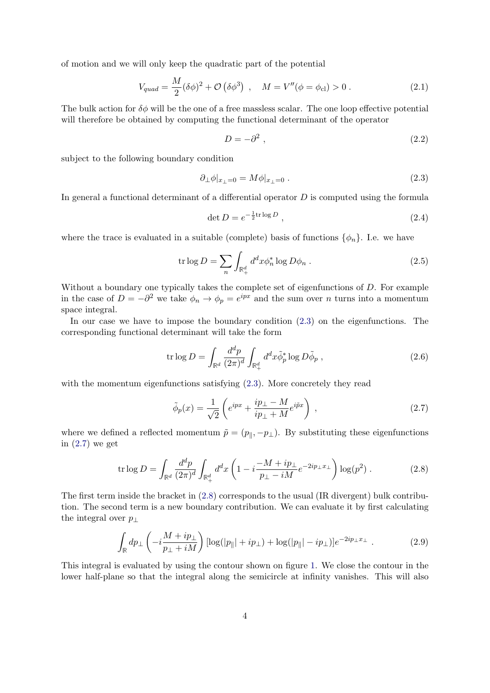of motion and we will only keep the quadratic part of the potential

$$
V_{quad} = \frac{M}{2} (\delta \phi)^2 + \mathcal{O} (\delta \phi^3) , \quad M = V''(\phi = \phi_{\text{cl}}) > 0 . \tag{2.1}
$$

The bulk action for  $\delta\phi$  will be the one of a free massless scalar. The one loop effective potential will therefore be obtained by computing the functional determinant of the operator

$$
D = -\partial^2 \,,\tag{2.2}
$$

subject to the following boundary condition

<span id="page-4-0"></span>
$$
\partial_{\perp}\phi|_{x_{\perp}=0} = M\phi|_{x_{\perp}=0} . \tag{2.3}
$$

In general a functional determinant of a differential operator  $D$  is computed using the formula

$$
\det D = e^{-\frac{1}{2}\text{tr}\log D},\tag{2.4}
$$

where the trace is evaluated in a suitable (complete) basis of functions  $\{\phi_n\}$ . I.e. we have

$$
\operatorname{tr}\log D = \sum_{n} \int_{\mathbb{R}^d_+} d^d x \phi_n^* \log D\phi_n . \tag{2.5}
$$

Without a boundary one typically takes the complete set of eigenfunctions of D. For example in the case of  $D = -\partial^2$  we take  $\phi_n \to \phi_p = e^{ipx}$  and the sum over n turns into a momentum space integral.

In our case we have to impose the boundary condition [\(2.3\)](#page-4-0) on the eigenfunctions. The corresponding functional determinant will take the form

$$
\operatorname{tr}\log D = \int_{\mathbb{R}^d} \frac{d^d p}{(2\pi)^d} \int_{\mathbb{R}_+^d} d^d x \tilde{\phi}_p^* \log D\tilde{\phi}_p , \qquad (2.6)
$$

with the momentum eigenfunctions satisfying  $(2.3)$ . More concretely they read

<span id="page-4-1"></span>
$$
\tilde{\phi}_p(x) = \frac{1}{\sqrt{2}} \left( e^{ipx} + \frac{ip_\perp - M}{ip_\perp + M} e^{i\tilde{p}x} \right) , \qquad (2.7)
$$

where we defined a reflected momentum  $\tilde{p} = (p_{\parallel}, -p_{\perp})$ . By substituting these eigenfunctions in [\(2.7\)](#page-4-1) we get

<span id="page-4-2"></span>
$$
\text{tr}\log D = \int_{\mathbb{R}^d} \frac{d^d p}{(2\pi)^d} \int_{\mathbb{R}_+^d} d^d x \left( 1 - i \frac{-M + ip_\perp}{p_\perp - iM} e^{-2ip_\perp x_\perp} \right) \log(p^2) \,. \tag{2.8}
$$

The first term inside the bracket in [\(2.8\)](#page-4-2) corresponds to the usual (IR divergent) bulk contribution. The second term is a new boundary contribution. We can evaluate it by first calculating the integral over  $p_{\perp}$ 

<span id="page-4-3"></span>
$$
\int_{\mathbb{R}} dp_{\perp} \left( -i \frac{M + ip_{\perp}}{p_{\perp} + iM} \right) [\log(|p_{\parallel}| + ip_{\perp}) + \log(|p_{\parallel}| - ip_{\perp})] e^{-2ip_{\perp}x_{\perp}} . \tag{2.9}
$$

This integral is evaluated by using the contour shown on figure [1.](#page-5-0) We close the contour in the lower half-plane so that the integral along the semicircle at infinity vanishes. This will also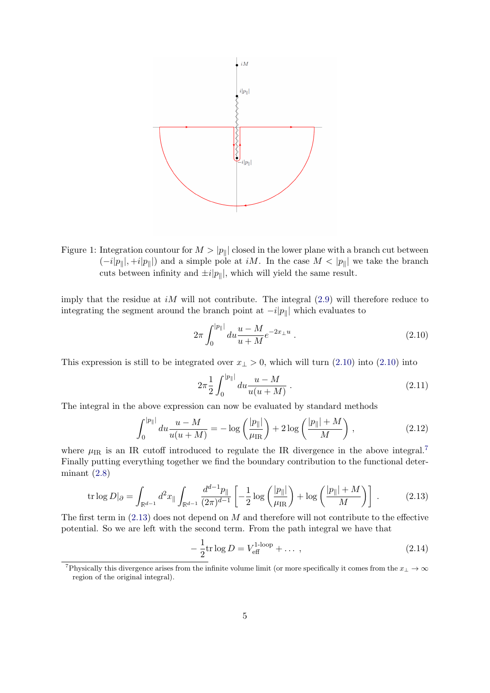

<span id="page-5-0"></span>Figure 1: Integration countour for  $M > |p_{\parallel}|$  closed in the lower plane with a branch cut between  $(-i|p_{\parallel}|, +i|p_{\parallel}|)$  and a simple pole at iM. In the case  $M < |p_{\parallel}|$  we take the branch cuts between infinity and  $\pm i|p_{\parallel}|$ , which will yield the same result.

imply that the residue at  $iM$  will not contribute. The integral  $(2.9)$  will therefore reduce to integrating the segment around the branch point at  $-i|p_{\parallel}|$  which evaluates to

<span id="page-5-1"></span>
$$
2\pi \int_0^{|p_{\parallel}|} du \frac{u - M}{u + M} e^{-2x_{\perp}u} . \tag{2.10}
$$

This expression is still to be integrated over  $x_{\perp} > 0$ , which will turn [\(2.10\)](#page-5-1) into (2.10) into

$$
2\pi \frac{1}{2} \int_0^{|p_{\parallel}|} du \frac{u - M}{u(u + M)} \,. \tag{2.11}
$$

The integral in the above expression can now be evaluated by standard methods

$$
\int_0^{|p_{\parallel}|} du \frac{u - M}{u(u + M)} = -\log\left(\frac{|p_{\parallel}|}{\mu_{\text{IR}}}\right) + 2\log\left(\frac{|p_{\parallel}| + M}{M}\right),\tag{2.12}
$$

where  $\mu_{\rm IR}$  is an IR cutoff introduced to regulate the IR divergence in the above integral.<sup>[7](#page-5-2)</sup> Finally putting everything together we find the boundary contribution to the functional determinant  $(2.8)$ 

<span id="page-5-3"></span>
$$
\text{tr}\log D|_{\partial} = \int_{\mathbb{R}^{d-1}} d^2 x_{\parallel} \int_{\mathbb{R}^{d-1}} \frac{d^{d-1} p_{\parallel}}{(2\pi)^{d-1}} \left[ -\frac{1}{2} \log \left( \frac{|p_{\parallel}|}{\mu_{\text{IR}}} \right) + \log \left( \frac{|p_{\parallel}| + M}{M} \right) \right] \,. \tag{2.13}
$$

The first term in  $(2.13)$  does not depend on M and therefore will not contribute to the effective potential. So we are left with the second term. From the path integral we have that

$$
-\frac{1}{2}\text{tr}\log D = V_{\text{eff}}^{\text{1-loop}} + \dots , \qquad (2.14)
$$

<span id="page-5-2"></span><sup>&</sup>lt;sup>7</sup>Physically this divergence arises from the infinite volume limit (or more specifically it comes from the  $x_\perp \to \infty$ region of the original integral).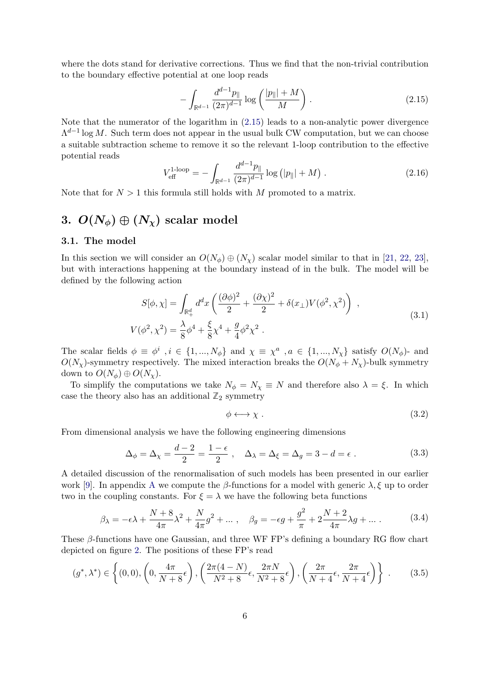where the dots stand for derivative corrections. Thus we find that the non-trivial contribution to the boundary effective potential at one loop reads

<span id="page-6-1"></span>
$$
-\int_{\mathbb{R}^{d-1}} \frac{d^{d-1}p_{\parallel}}{(2\pi)^{d-1}} \log\left(\frac{|p_{\parallel}|+M}{M}\right). \tag{2.15}
$$

Note that the numerator of the logarithm in [\(2.15\)](#page-6-1) leads to a non-analytic power divergence  $\Lambda^{d-1}$  log M. Such term does not appear in the usual bulk CW computation, but we can choose a suitable subtraction scheme to remove it so the relevant 1-loop contribution to the effective potential reads

<span id="page-6-4"></span>
$$
V_{\text{eff}}^{1\text{-loop}} = -\int_{\mathbb{R}^{d-1}} \frac{d^{d-1}p_{\parallel}}{(2\pi)^{d-1}} \log (|p_{\parallel}| + M) . \tag{2.16}
$$

Note that for  $N > 1$  this formula still holds with M promoted to a matrix.

# <span id="page-6-0"></span>3.  $O(N_{\phi}) \oplus (N_{\chi})$  scalar model

#### 3.1. The model

In this section we will consider an  $O(N_{\phi}) \oplus (N_{\chi})$  scalar model similar to that in [\[21,](#page-17-3) [22,](#page-17-4) [23\]](#page-17-5), but with interactions happening at the boundary instead of in the bulk. The model will be defined by the following action

<span id="page-6-2"></span>
$$
S[\phi, \chi] = \int_{\mathbb{R}_+^d} d^d x \left( \frac{(\partial \phi)^2}{2} + \frac{(\partial \chi)^2}{2} + \delta(x_\perp) V(\phi^2, \chi^2) \right) ,
$$
  
\n
$$
V(\phi^2, \chi^2) = \frac{\lambda}{8} \phi^4 + \frac{\xi}{8} \chi^4 + \frac{g}{4} \phi^2 \chi^2 .
$$
\n(3.1)

The scalar fields  $\phi \equiv \phi^i$ ,  $i \in \{1, ..., N_\phi\}$  and  $\chi \equiv \chi^a$ ,  $a \in \{1, ..., N_\chi\}$  satisfy  $O(N_\phi)$ - and  $O(N_\chi)$ -symmetry respectively. The mixed interaction breaks the  $O(N_\phi + N_\chi)$ -bulk symmetry down to  $O(N_{\phi}) \oplus O(N_{\chi})$ .

To simplify the computations we take  $N_{\phi} = N_{\chi} \equiv N$  and therefore also  $\lambda = \xi$ . In which case the theory also has an additional  $\mathbb{Z}_2$  symmetry

<span id="page-6-7"></span>
$$
\phi \longleftrightarrow \chi \tag{3.2}
$$

From dimensional analysis we have the following engineering dimensions

<span id="page-6-5"></span>
$$
\Delta_{\phi} = \Delta_{\chi} = \frac{d-2}{2} = \frac{1-\epsilon}{2} , \quad \Delta_{\lambda} = \Delta_{\xi} = \Delta_{g} = 3 - d = \epsilon . \tag{3.3}
$$

A detailed discussion of the renormalisation of such models has been presented in our earlier work [\[9\]](#page-16-8). In appendix [A](#page-12-0) we compute the  $\beta$ -functions for a model with generic  $\lambda, \xi$  up to order two in the coupling constants. For  $\xi = \lambda$  we have the following beta functions

<span id="page-6-6"></span>
$$
\beta_{\lambda} = -\epsilon \lambda + \frac{N + 8}{4\pi} \lambda^2 + \frac{N}{4\pi} g^2 + \dots, \quad \beta_g = -\epsilon g + \frac{g^2}{\pi} + 2\frac{N + 2}{4\pi} \lambda g + \dots \tag{3.4}
$$

These  $\beta$ -functions have one Gaussian, and three WF FP's defining a boundary RG flow chart depicted on figure [2.](#page-7-0) The positions of these FP's read

<span id="page-6-3"></span>
$$
(g^*, \lambda^*) \in \left\{ (0,0), \left(0, \frac{4\pi}{N+8}\epsilon\right), \left(\frac{2\pi(4-N)}{N^2+8}\epsilon, \frac{2\pi N}{N^2+8}\epsilon\right), \left(\frac{2\pi}{N+4}\epsilon, \frac{2\pi}{N+4}\epsilon\right) \right\}.
$$
 (3.5)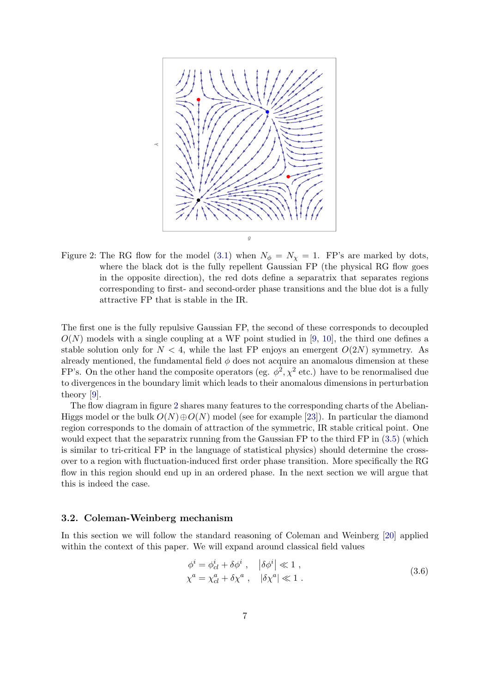

<span id="page-7-0"></span>Figure 2: The RG flow for the model [\(3.1\)](#page-6-2) when  $N_{\phi} = N_{\chi} = 1$ . FP's are marked by dots, where the black dot is the fully repellent Gaussian FP (the physical RG flow goes in the opposite direction), the red dots define a separatrix that separates regions corresponding to first- and second-order phase transitions and the blue dot is a fully attractive FP that is stable in the IR.

The first one is the fully repulsive Gaussian FP, the second of these corresponds to decoupled  $O(N)$  models with a single coupling at a WF point studied in [\[9,](#page-16-8) [10\]](#page-16-9), the third one defines a stable solution only for  $N < 4$ , while the last FP enjoys an emergent  $O(2N)$  symmetry. As already mentioned, the fundamental field  $\phi$  does not acquire an anomalous dimension at these FP's. On the other hand the composite operators (eg.  $\phi^2$ ,  $\chi^2$  etc.) have to be renormalised due to divergences in the boundary limit which leads to their anomalous dimensions in perturbation theory [\[9\]](#page-16-8).

The flow diagram in figure [2](#page-7-0) shares many features to the corresponding charts of the Abelian-Higgs model or the bulk  $O(N) \oplus O(N)$  model (see for example [\[23\]](#page-17-5)). In particular the diamond region corresponds to the domain of attraction of the symmetric, IR stable critical point. One would expect that the separatrix running from the Gaussian FP to the third FP in  $(3.5)$  (which is similar to tri-critical FP in the language of statistical physics) should determine the crossover to a region with fluctuation-induced first order phase transition. More specifically the RG flow in this region should end up in an ordered phase. In the next section we will argue that this is indeed the case.

#### <span id="page-7-1"></span>3.2. Coleman-Weinberg mechanism

In this section we will follow the standard reasoning of Coleman and Weinberg [\[20\]](#page-17-0) applied within the context of this paper. We will expand around classical field values

$$
\begin{aligned}\n\phi^i &= \phi^i_{cl} + \delta \phi^i \,, \quad |\delta \phi^i| \ll 1 \,, \\
\chi^a &= \chi^a_{cl} + \delta \chi^a \,, \quad |\delta \chi^a| \ll 1 \,. \n\end{aligned} \tag{3.6}
$$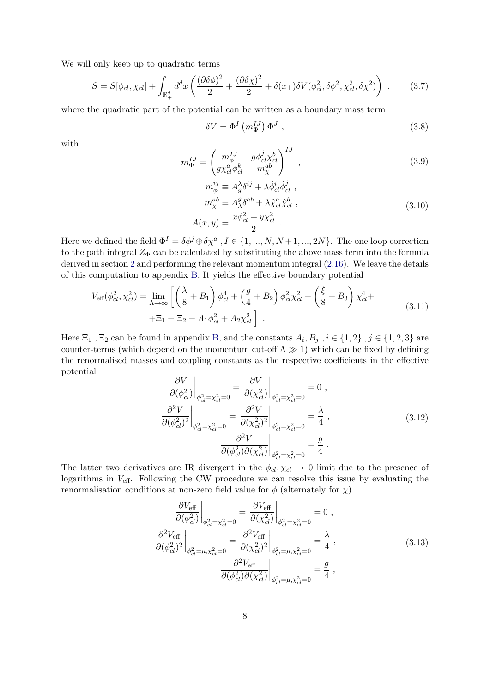We will only keep up to quadratic terms

$$
S = S[\phi_{cl}, \chi_{cl}] + \int_{\mathbb{R}_+^d} d^d x \left( \frac{(\partial \delta \phi)^2}{2} + \frac{(\partial \delta \chi)^2}{2} + \delta(x_\perp) \delta V(\phi_{cl}^2, \delta \phi^2, \chi_{cl}^2, \delta \chi^2) \right) . \tag{3.7}
$$

where the quadratic part of the potential can be written as a boundary mass term

$$
\delta V = \Phi^I \left( m_{\Phi}^{IJ} \right) \Phi^J , \qquad (3.8)
$$

with

$$
m_{\Phi}^{IJ} = \begin{pmatrix} m_{\phi}^{IJ} & g\phi_{cl}^j \chi_{cl}^b \\ g\chi_{cl}^a \phi_{cl}^k & m_{\chi}^{ab} \end{pmatrix}^{IJ},
$$
\n(3.9)

<span id="page-8-2"></span>
$$
m_{\phi}^{ij} \equiv A_g^{\lambda} \delta^{ij} + \lambda \hat{\phi}_{cl}^{i} \hat{\phi}_{cl}^{j} ,
$$
  
\n
$$
m_{\chi}^{ab} \equiv A_{\lambda}^{g} \delta^{ab} + \lambda \hat{\chi}_{cl}^{a} \hat{\chi}_{cl}^{b} ,
$$
  
\n
$$
A(x, y) = \frac{x \phi_{cl}^{2} + y \chi_{cl}^{2}}{2} .
$$
\n(3.10)

Here we defined the field  $\Phi^I = \delta \phi^j \oplus \delta \chi^a$  ,  $I \in \{1, ..., N, N+1, ..., 2N\}$ . The one loop correction to the path integral  $Z_{\Phi}$  can be calculated by substituting the above mass term into the formula derived in section [2](#page-3-3) and performing the relevant momentum integral [\(2.16\)](#page-6-4). We leave the details of this computation to appendix [B.](#page-14-0) It yields the effective boundary potential

<span id="page-8-1"></span>
$$
V_{\text{eff}}(\phi_{cl}^2, \chi_{cl}^2) = \lim_{\Lambda \to \infty} \left[ \left( \frac{\lambda}{8} + B_1 \right) \phi_{cl}^4 + \left( \frac{g}{4} + B_2 \right) \phi_{cl}^2 \chi_{cl}^2 + \left( \frac{\xi}{8} + B_3 \right) \chi_{cl}^4 + \right. \\
\left. + \Xi_1 + \Xi_2 + A_1 \phi_{cl}^2 + A_2 \chi_{cl}^2 \right] \,. \tag{3.11}
$$

Here  $\Xi_1$ ,  $\Xi_2$  can be found in appendix [B,](#page-14-0) and the constants  $A_i, B_j$ ,  $i \in \{1, 2\}$ ,  $j \in \{1, 2, 3\}$  are counter-terms (which depend on the momentum cut-off  $\Lambda \gg 1$ ) which can be fixed by defining the renormalised masses and coupling constants as the respective coefficients in the effective potential

$$
\frac{\partial V}{\partial (\phi_{cl}^2)}\Big|_{\phi_{cl}^2 = \chi_{cl}^2 = 0} = \frac{\partial V}{\partial (\chi_{cl}^2)}\Big|_{\phi_{cl}^2 = \chi_{cl}^2 = 0} = 0,
$$
\n
$$
\frac{\partial^2 V}{\partial (\phi_{cl}^2)^2}\Big|_{\phi_{cl}^2 = \chi_{cl}^2 = 0} = \frac{\partial^2 V}{\partial (\chi_{cl}^2)^2}\Big|_{\phi_{cl}^2 = \chi_{cl}^2 = 0} = \frac{\lambda}{4},
$$
\n
$$
\frac{\partial^2 V}{\partial (\phi_{cl}^2)\partial (\chi_{cl}^2)}\Big|_{\phi_{cl}^2 = \chi_{cl}^2 = 0} = \frac{g}{4}.
$$
\n(3.12)

The latter two derivatives are IR divergent in the  $\phi_{cl}$ ,  $\chi_{cl} \rightarrow 0$  limit due to the presence of logarithms in  $V_{\text{eff}}$ . Following the CW procedure we can resolve this issue by evaluating the renormalisation conditions at non-zero field value for  $\phi$  (alternately for  $\chi$ )

<span id="page-8-0"></span>
$$
\frac{\partial V_{\text{eff}}}{\partial (\phi_{cl}^2)}\Big|_{\phi_{cl}^2 = \chi_{cl}^2 = 0} = \frac{\partial V_{\text{eff}}}{\partial (\chi_{cl}^2)}\Big|_{\phi_{cl}^2 = \chi_{cl}^2 = 0} = 0,
$$
\n
$$
\frac{\partial^2 V_{\text{eff}}}{\partial (\phi_{cl}^2)^2}\Big|_{\phi_{cl}^2 = \mu, \chi_{cl}^2 = 0} = \frac{\partial^2 V_{\text{eff}}}{\partial (\chi_{cl}^2)^2}\Big|_{\phi_{cl}^2 = \mu, \chi_{cl}^2 = 0} = \frac{\lambda}{4},
$$
\n
$$
\frac{\partial^2 V_{\text{eff}}}{\partial (\phi_{cl}^2)\partial (\chi_{cl}^2)}\Big|_{\phi_{cl}^2 = \mu, \chi_{cl}^2 = 0} = \frac{g}{4},
$$
\n(3.13)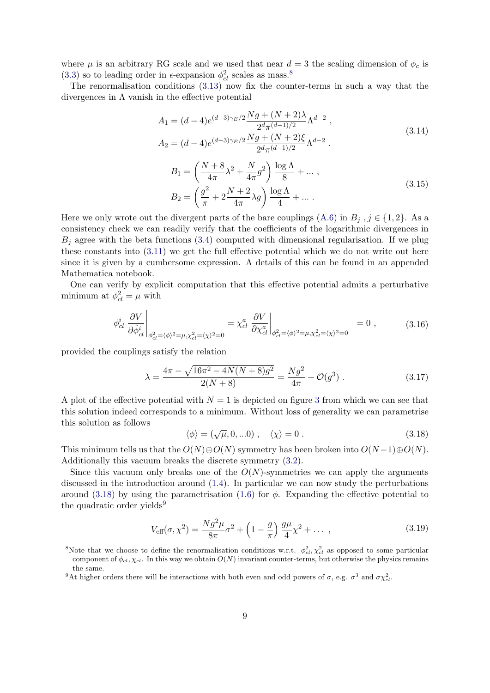where  $\mu$  is an arbitrary RG scale and we used that near  $d = 3$  the scaling dimension of  $\phi_c$  is [\(3.3\)](#page-6-5) so to leading order in  $\epsilon$ -expansion  $\phi_{cl}^2$  scales as mass.<sup>[8](#page-9-0)</sup>

The renormalisation conditions [\(3.13\)](#page-8-0) now fix the counter-terms in such a way that the divergences in  $\Lambda$  vanish in the effective potential

$$
A_1 = (d - 4)e^{(d-3)\gamma_E/2}\frac{Ng + (N + 2)\lambda}{2^d \pi^{(d-1)/2}}\Lambda^{d-2},
$$
  
\n
$$
A_2 = (d - 4)e^{(d-3)\gamma_E/2}\frac{Ng + (N + 2)\xi}{2^d \pi^{(d-1)/2}}\Lambda^{d-2}.
$$
  
\n
$$
B_1 = \left(\frac{N + 8}{4\pi}\lambda^2 + \frac{N}{4\pi}g^2\right)\frac{\log\Lambda}{8} + ...,
$$
  
\n
$$
B_2 = \left(\frac{g^2}{\pi} + 2\frac{N + 2}{4\pi}\lambda g\right)\frac{\log\Lambda}{4} + ...
$$
\n(3.15)

Here we only wrote out the divergent parts of the bare couplings  $(A.6)$  in  $B_j$ ,  $j \in \{1,2\}$ . As a consistency check we can readily verify that the coefficients of the logarithmic divergences in  $B_i$  agree with the beta functions [\(3.4\)](#page-6-6) computed with dimensional regularisation. If we plug these constants into [\(3.11\)](#page-8-1) we get the full effective potential which we do not write out here since it is given by a cumbersome expression. A details of this can be found in an appended Mathematica notebook.

One can verify by explicit computation that this effective potential admits a perturbative minimum at  $\phi_{cl}^2 = \mu$  with

$$
\phi_{cl}^{i} \left. \frac{\partial V}{\partial \hat{\phi}_{cl}^{i}} \right|_{\phi_{cl}^{2} = \langle \phi \rangle^{2} = \mu, \chi_{cl}^{2} = \langle \chi \rangle^{2} = 0} = \chi_{cl}^{a} \left. \frac{\partial V}{\partial \chi_{cl}^{a}} \right|_{\phi_{cl}^{2} = \langle \phi \rangle^{2} = \mu, \chi_{cl}^{2} = \langle \chi \rangle^{2} = 0} = 0 , \quad (3.16)
$$

provided the couplings satisfy the relation

<span id="page-9-4"></span>
$$
\lambda = \frac{4\pi - \sqrt{16\pi^2 - 4N(N+8)g^2}}{2(N+8)} = \frac{Ng^2}{4\pi} + \mathcal{O}(g^3) \ . \tag{3.17}
$$

A plot of the effective potential with  $N = 1$  is depicted on figure [3](#page-10-0) from which we can see that this solution indeed corresponds to a minimum. Without loss of generality we can parametrise this solution as follows

<span id="page-9-1"></span>
$$
\langle \phi \rangle = (\sqrt{\mu}, 0, \ldots 0) , \quad \langle \chi \rangle = 0 . \tag{3.18}
$$

This minimum tells us that the  $O(N) \oplus O(N)$  symmetry has been broken into  $O(N-1) \oplus O(N)$ . Additionally this vacuum breaks the discrete symmetry [\(3.2\)](#page-6-7).

Since this vacuum only breaks one of the  $O(N)$ -symmetries we can apply the arguments discussed in the introduction around [\(1.4\)](#page-2-4). In particular we can now study the perturbations around [\(3.18\)](#page-9-1) by using the parametrisation [\(1.6\)](#page-2-2) for  $\phi$ . Expanding the effective potential to the quadratic order yields<sup>[9](#page-9-2)</sup>

<span id="page-9-3"></span>
$$
V_{\text{eff}}(\sigma, \chi^2) = \frac{Ng^2 \mu}{8\pi} \sigma^2 + \left(1 - \frac{g}{\pi}\right) \frac{g\mu}{4} \chi^2 + \dots \,, \tag{3.19}
$$

<span id="page-9-0"></span><sup>&</sup>lt;sup>8</sup>Note that we choose to define the renormalisation conditions w.r.t.  $\phi_{cl}^2$ ,  $\chi_{cl}^2$  as opposed to some particular component of  $\phi_{cl}$ ,  $\chi_{cl}$ . In this way we obtain  $O(N)$  invariant counter-terms, but otherwise the physics remains the same.

<span id="page-9-2"></span><sup>&</sup>lt;sup>9</sup>At higher orders there will be interactions with both even and odd powers of  $\sigma$ , e.g.  $\sigma^3$  and  $\sigma \chi^2_{cl}$ .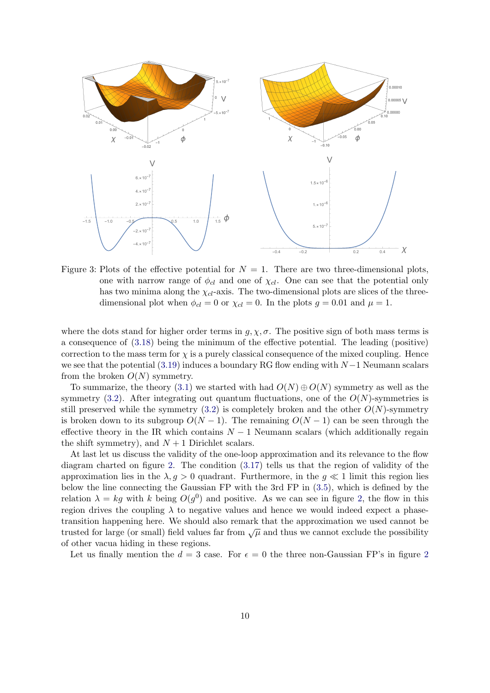

<span id="page-10-0"></span>Figure 3: Plots of the effective potential for  $N = 1$ . There are two three-dimensional plots, one with narrow range of  $\phi_{cl}$  and one of  $\chi_{cl}$ . One can see that the potential only has two minima along the  $\chi_{cl}$ -axis. The two-dimensional plots are slices of the threedimensional plot when  $\phi_{cl} = 0$  or  $\chi_{cl} = 0$ . In the plots  $g = 0.01$  and  $\mu = 1$ .

where the dots stand for higher order terms in  $g, \chi, \sigma$ . The positive sign of both mass terms is a consequence of [\(3.18\)](#page-9-1) being the minimum of the effective potential. The leading (positive) correction to the mass term for  $\chi$  is a purely classical consequence of the mixed coupling. Hence we see that the potential [\(3.19\)](#page-9-3) induces a boundary RG flow ending with  $N-1$  Neumann scalars from the broken  $O(N)$  symmetry.

To summarize, the theory [\(3.1\)](#page-6-2) we started with had  $O(N) \oplus O(N)$  symmetry as well as the symmetry [\(3.2\)](#page-6-7). After integrating out quantum fluctuations, one of the  $O(N)$ -symmetries is still preserved while the symmetry  $(3.2)$  is completely broken and the other  $O(N)$ -symmetry is broken down to its subgroup  $O(N-1)$ . The remaining  $O(N-1)$  can be seen through the effective theory in the IR which contains  $N-1$  Neumann scalars (which additionally regain the shift symmetry), and  $N + 1$  Dirichlet scalars.

At last let us discuss the validity of the one-loop approximation and its relevance to the flow diagram charted on figure [2.](#page-7-0) The condition [\(3.17\)](#page-9-4) tells us that the region of validity of the approximation lies in the  $\lambda, g > 0$  quadrant. Furthermore, in the  $g \ll 1$  limit this region lies below the line connecting the Gaussian FP with the 3rd FP in [\(3.5\)](#page-6-3), which is defined by the relation  $\lambda = kg$  with k being  $O(g^0)$  and positive. As we can see in figure [2,](#page-7-0) the flow in this region drives the coupling  $\lambda$  to negative values and hence we would indeed expect a phasetransition happening here. We should also remark that the approximation we used cannot be trusted for large (or small) field values far from  $\sqrt{\mu}$  and thus we cannot exclude the possibility of other vacua hiding in these regions.

Let us finally mention the  $d = 3$  case. For  $\epsilon = 0$  the three non-Gaussian FP's in figure [2](#page-7-0)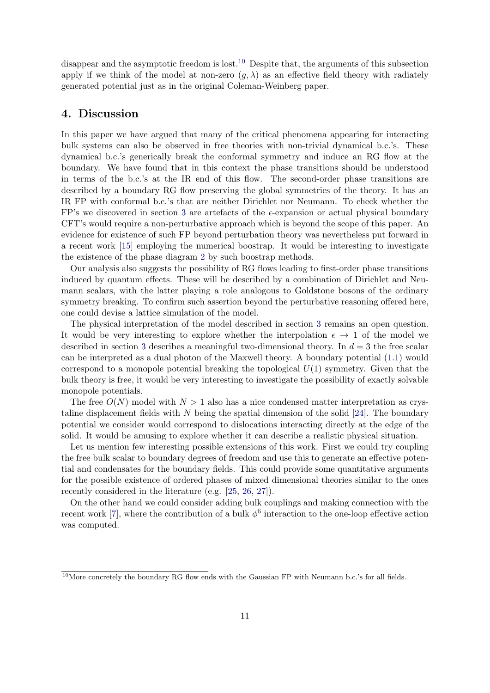disappear and the asymptotic freedom is lost.<sup>[10](#page-11-1)</sup> Despite that, the arguments of this subsection apply if we think of the model at non-zero  $(q, \lambda)$  as an effective field theory with radiately generated potential just as in the original Coleman-Weinberg paper.

### <span id="page-11-0"></span>4. Discussion

In this paper we have argued that many of the critical phenomena appearing for interacting bulk systems can also be observed in free theories with non-trivial dynamical b.c.'s. These dynamical b.c.'s generically break the conformal symmetry and induce an RG flow at the boundary. We have found that in this context the phase transitions should be understood in terms of the b.c.'s at the IR end of this flow. The second-order phase transitions are described by a boundary RG flow preserving the global symmetries of the theory. It has an IR FP with conformal b.c.'s that are neither Dirichlet nor Neumann. To check whether the FP's we discovered in section [3](#page-6-0) are artefacts of the  $\epsilon$ -expansion or actual physical boundary CFT's would require a non-perturbative approach which is beyond the scope of this paper. An evidence for existence of such FP beyond perturbation theory was nevertheless put forward in a recent work [\[15\]](#page-16-14) employing the numerical boostrap. It would be interesting to investigate the existence of the phase diagram [2](#page-7-0) by such boostrap methods.

Our analysis also suggests the possibility of RG flows leading to first-order phase transitions induced by quantum effects. These will be described by a combination of Dirichlet and Neumann scalars, with the latter playing a role analogous to Goldstone bosons of the ordinary symmetry breaking. To confirm such assertion beyond the perturbative reasoning offered here, one could devise a lattice simulation of the model.

The physical interpretation of the model described in section [3](#page-6-0) remains an open question. It would be very interesting to explore whether the interpolation  $\epsilon \to 1$  of the model we described in section [3](#page-6-0) describes a meaningful two-dimensional theory. In  $d = 3$  the free scalar can be interpreted as a dual photon of the Maxwell theory. A boundary potential [\(1.1\)](#page-2-1) would correspond to a monopole potential breaking the topological  $U(1)$  symmetry. Given that the bulk theory is free, it would be very interesting to investigate the possibility of exactly solvable monopole potentials.

The free  $O(N)$  model with  $N > 1$  also has a nice condensed matter interpretation as crystaline displacement fields with  $N$  being the spatial dimension of the solid [\[24\]](#page-17-6). The boundary potential we consider would correspond to dislocations interacting directly at the edge of the solid. It would be amusing to explore whether it can describe a realistic physical situation.

Let us mention few interesting possible extensions of this work. First we could try coupling the free bulk scalar to boundary degrees of freedom and use this to generate an effective potential and condensates for the boundary fields. This could provide some quantitative arguments for the possible existence of ordered phases of mixed dimensional theories similar to the ones recently considered in the literature (e.g. [\[25,](#page-17-7) [26,](#page-17-8) [27\]](#page-17-9)).

On the other hand we could consider adding bulk couplings and making connection with the recent work [\[7\]](#page-16-6), where the contribution of a bulk  $\phi^6$  interaction to the one-loop effective action was computed.

<span id="page-11-1"></span> $10$ More concretely the boundary RG flow ends with the Gaussian FP with Neumann b.c.'s for all fields.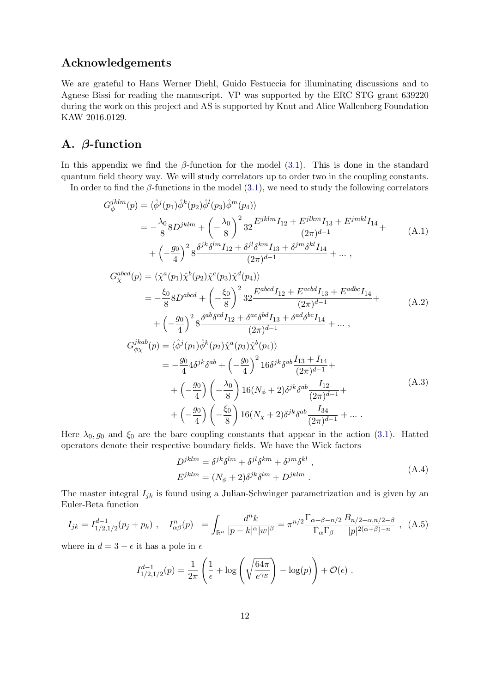# Acknowledgements

We are grateful to Hans Werner Diehl, Guido Festuccia for illuminating discussions and to Agnese Bissi for reading the manuscript. VP was supported by the ERC STG grant 639220 during the work on this project and AS is supported by Knut and Alice Wallenberg Foundation KAW 2016.0129.

## <span id="page-12-0"></span>A. β-function

In this appendix we find the  $\beta$ -function for the model [\(3.1\)](#page-6-2). This is done in the standard quantum field theory way. We will study correlators up to order two in the coupling constants.

In order to find the  $\beta$ -functions in the model [\(3.1\)](#page-6-2), we need to study the following correlators

$$
G_{\phi}^{jklm}(p) = \langle \hat{\phi}^{j}(p_{1})\hat{\phi}^{k}(p_{2})\hat{\phi}^{l}(p_{3})\hat{\phi}^{m}(p_{4})\rangle
$$
  
\n
$$
= -\frac{\lambda_{0}}{8}8D^{jklm} + \left(-\frac{\lambda_{0}}{8}\right)^{2}32\frac{E^{jklm}I_{12} + E^{jlkm}I_{13} + E^{jmkl}I_{14}}{(2\pi)^{d-1}} + \left(-\frac{g_{0}}{4}\right)^{2}8\frac{\delta^{jk}\delta^{lm}I_{12} + \delta^{jl}\delta^{km}I_{13} + \delta^{jm}\delta^{kl}I_{14}}{(2\pi)^{d-1}} + \cdots,
$$
  
\n
$$
G_{\chi}^{abcd}(p) = \langle \hat{\chi}^{a}(p_{1})\hat{\chi}^{b}(p_{2})\hat{\chi}^{c}(p_{3})\hat{\chi}^{d}(p_{4})\rangle
$$
  
\n
$$
= -\frac{\xi_{0}}{8}8D^{abcd} + \left(-\frac{\xi_{0}}{8}\right)^{2}32\frac{E^{abcd}I_{12} + E^{acbd}I_{13} + E^{adbc}I_{14}}{(2\pi)^{d-1}} + \cdots,
$$
  
\n
$$
+ \left(-\frac{g_{0}}{4}\right)^{2}8\frac{\delta^{ab}\delta^{cd}I_{12} + \delta^{ac}\delta^{bd}I_{13} + \delta^{ad}\delta^{bc}I_{14}}{(2\pi)^{d-1}} + \cdots,
$$
  
\n
$$
G_{\phi\chi}^{jkab}(p) = \langle \hat{\phi}^{j}(p_{1})\hat{\phi}^{k}(p_{2})\hat{\chi}^{a}(p_{3})\hat{\chi}^{b}(p_{4})\rangle
$$
  
\n
$$
= -\frac{g_{0}}{4}4\delta^{jk}\delta^{ab} + \left(-\frac{g_{0}}{4}\right)^{2}16\delta^{jk}\delta^{ab}\frac{I_{13} + I_{14}}{(2\pi)^{d-1}} + \left(-\frac{g_{0}}{4}\right)\left(-\frac{\lambda_{0}}{8}\right)16(N_{\phi} + 2)\delta^{jk}\delta^{ab}\frac{I_{12}}{(2\pi)^{d-1}} + \cdots.
$$
  
\n(A.3)

Here  $\lambda_0, g_0$  and  $\xi_0$  are the bare coupling constants that appear in the action [\(3.1\)](#page-6-2). Hatted operators denote their respective boundary fields. We have the Wick factors

$$
D^{jklm} = \delta^{jk}\delta^{lm} + \delta^{jl}\delta^{km} + \delta^{jm}\delta^{kl} ,
$$
  
\n
$$
E^{jklm} = (N_{\phi} + 2)\delta^{jk}\delta^{lm} + D^{jklm} .
$$
\n(A.4)

The master integral  $I_{jk}$  is found using a Julian-Schwinger parametrization and is given by an Euler-Beta function

$$
I_{jk} = I_{1/2,1/2}^{d-1}(p_j + p_k) , \quad I_{\alpha\beta}^n(p) = \int_{\mathbb{R}^n} \frac{d^n k}{|p - k|^{\alpha} |w|^{\beta}} = \pi^{n/2} \frac{\Gamma_{\alpha+\beta-n/2}}{\Gamma_{\alpha} \Gamma_{\beta}} \frac{B_{n/2-\alpha,n/2-\beta}}{|p|^{2(\alpha+\beta)-n}} , \quad (A.5)
$$

where in  $d = 3 - \epsilon$  it has a pole in  $\epsilon$ 

$$
I_{1/2,1/2}^{d-1}(p) = \frac{1}{2\pi} \left( \frac{1}{\epsilon} + \log \left( \sqrt{\frac{64\pi}{e^{\gamma_E}}} \right) - \log(p) \right) + \mathcal{O}(\epsilon) .
$$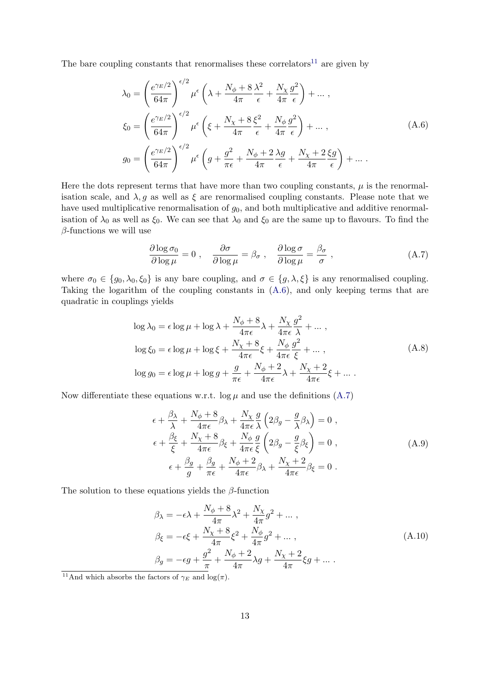The bare coupling constants that renormalises these correlators<sup>[11](#page-13-1)</sup> are given by

<span id="page-13-0"></span>
$$
\lambda_0 = \left(\frac{e^{\gamma_E/2}}{64\pi}\right)^{\epsilon/2} \mu^{\epsilon} \left(\lambda + \frac{N_\phi + 8}{4\pi} \frac{\lambda^2}{\epsilon} + \frac{N_\chi}{4\pi} \frac{g^2}{\epsilon}\right) + \dots ,
$$
  
\n
$$
\xi_0 = \left(\frac{e^{\gamma_E/2}}{64\pi}\right)^{\epsilon/2} \mu^{\epsilon} \left(\xi + \frac{N_\chi + 8}{4\pi} \frac{\xi^2}{\epsilon} + \frac{N_\phi}{4\pi} \frac{g^2}{\epsilon}\right) + \dots ,
$$
  
\n
$$
g_0 = \left(\frac{e^{\gamma_E/2}}{64\pi}\right)^{\epsilon/2} \mu^{\epsilon} \left(g + \frac{g^2}{\pi \epsilon} + \frac{N_\phi + 2}{4\pi} \frac{\lambda g}{\epsilon} + \frac{N_\chi + 2}{4\pi} \frac{\xi g}{\epsilon}\right) + \dots .
$$
\n(A.6)

Here the dots represent terms that have more than two coupling constants,  $\mu$  is the renormalisation scale, and  $\lambda$ , g as well as  $\xi$  are renormalised coupling constants. Please note that we have used multiplicative renormalisation of  $g_0$ , and both multiplicative and additive renormalisation of  $\lambda_0$  as well as  $\xi_0$ . We can see that  $\lambda_0$  and  $\xi_0$  are the same up to flavours. To find the  $\beta$ -functions we will use

<span id="page-13-2"></span>
$$
\frac{\partial \log \sigma_0}{\partial \log \mu} = 0 \;, \quad \frac{\partial \sigma}{\partial \log \mu} = \beta_{\sigma} \;, \quad \frac{\partial \log \sigma}{\partial \log \mu} = \frac{\beta_{\sigma}}{\sigma} \;, \tag{A.7}
$$

where  $\sigma_0 \in \{g_0, \lambda_0, \xi_0\}$  is any bare coupling, and  $\sigma \in \{g, \lambda, \xi\}$  is any renormalised coupling. Taking the logarithm of the coupling constants in [\(A.6\)](#page-13-0), and only keeping terms that are quadratic in couplings yields

$$
\log \lambda_0 = \epsilon \log \mu + \log \lambda + \frac{N_{\phi} + 8}{4\pi \epsilon} \lambda + \frac{N_{\chi}}{4\pi \epsilon} \frac{g^2}{\lambda} + \dots,
$$
  

$$
\log \xi_0 = \epsilon \log \mu + \log \xi + \frac{N_{\chi} + 8}{4\pi \epsilon} \xi + \frac{N_{\phi}}{4\pi \epsilon} \frac{g^2}{\xi} + \dots,
$$
  

$$
\log g_0 = \epsilon \log \mu + \log g + \frac{g}{\pi \epsilon} + \frac{N_{\phi} + 2}{4\pi \epsilon} \lambda + \frac{N_{\chi} + 2}{4\pi \epsilon} \xi + \dots.
$$
 (A.8)

Now differentiate these equations w.r.t.  $\log \mu$  and use the definitions [\(A.7\)](#page-13-2)

$$
\epsilon + \frac{\beta_{\lambda}}{\lambda} + \frac{N_{\phi} + 8}{4\pi\epsilon} \beta_{\lambda} + \frac{N_{\chi}}{4\pi\epsilon} \frac{g}{\lambda} \left( 2\beta_{g} - \frac{g}{\lambda} \beta_{\lambda} \right) = 0 ,
$$
\n
$$
\epsilon + \frac{\beta_{\xi}}{\xi} + \frac{N_{\chi} + 8}{4\pi\epsilon} \beta_{\xi} + \frac{N_{\phi}}{4\pi\epsilon} \frac{g}{\xi} \left( 2\beta_{g} - \frac{g}{\xi} \beta_{\xi} \right) = 0 ,
$$
\n
$$
\epsilon + \frac{\beta_{g}}{g} + \frac{\beta_{g}}{\pi\epsilon} + \frac{N_{\phi} + 2}{4\pi\epsilon} \beta_{\lambda} + \frac{N_{\chi} + 2}{4\pi\epsilon} \beta_{\xi} = 0 .
$$
\n(A.9)

The solution to these equations yields the  $\beta$ -function

$$
\beta_{\lambda} = -\epsilon \lambda + \frac{N_{\phi} + 8}{4\pi} \lambda^{2} + \frac{N_{\chi}}{4\pi} g^{2} + \dots ,
$$
\n
$$
\beta_{\xi} = -\epsilon \xi + \frac{N_{\chi} + 8}{4\pi} \xi^{2} + \frac{N_{\phi}}{4\pi} g^{2} + \dots ,
$$
\n
$$
\beta_{g} = -\epsilon g + \frac{g^{2}}{\pi} + \frac{N_{\phi} + 2}{4\pi} \lambda g + \frac{N_{\chi} + 2}{4\pi} \xi g + \dots .
$$
\n(A.10)

<span id="page-13-1"></span><sup>&</sup>lt;sup>11</sup>And which absorbs the factors of  $\gamma_E$  and log( $\pi$ ).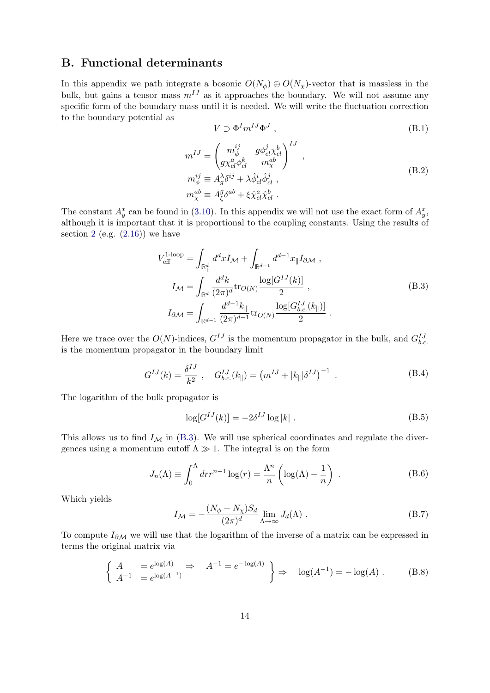## <span id="page-14-0"></span>B. Functional determinants

In this appendix we path integrate a bosonic  $O(N_{\phi}) \oplus O(N_{\chi})$ -vector that is massless in the bulk, but gains a tensor mass  $m^{IJ}$  as it approaches the boundary. We will not assume any specific form of the boundary mass until it is needed. We will write the fluctuation correction to the boundary potential as

$$
V \supset \Phi^I m^{IJ} \Phi^J , \qquad (B.1)
$$

$$
m^{IJ} = \begin{pmatrix} m_{\phi}^{ij} & g\phi_{cl}^j \chi_{cl}^b \\ g\chi_{cl}^a \phi_{cl}^k & m_{\chi}^{ab} \end{pmatrix}^{IJ},
$$
  
\n
$$
m_{\phi}^{ij} \equiv A_g^{\lambda} \delta^{ij} + \lambda \hat{\phi}_{cl}^i \hat{\phi}_{cl}^j ,
$$
  
\n
$$
m_{\chi}^{ab} \equiv A_{\xi}^g \delta^{ab} + \xi \hat{\chi}_{cl}^a \hat{\chi}_{cl}^b .
$$
\n(B.2)

The constant  $A_y^x$  can be found in [\(3.10\)](#page-8-2). In this appendix we will not use the exact form of  $A_y^x$ , although it is important that it is proportional to the coupling constants. Using the results of section [2](#page-3-3) (e.g.  $(2.16)$ ) we have

<span id="page-14-1"></span>
$$
V_{\text{eff}}^{1\text{-loop}} = \int_{\mathbb{R}_{+}^{d}} d^{d}x I_{\mathcal{M}} + \int_{\mathbb{R}^{d-1}} d^{d-1}x \parallel I_{\partial \mathcal{M}},
$$
  
\n
$$
I_{\mathcal{M}} = \int_{\mathbb{R}^{d}} \frac{d^{d}k}{(2\pi)^{d}} \text{tr}_{O(N)} \frac{\log[G^{IJ}(k)]}{2},
$$
  
\n
$$
I_{\partial \mathcal{M}} = \int_{\mathbb{R}^{d-1}} \frac{d^{d-1}k}{(2\pi)^{d-1}} \text{tr}_{O(N)} \frac{\log[G^{IJ}_{b.c.}(k_{\parallel})]}{2}.
$$
\n(B.3)

Here we trace over the  $O(N)$ -indices,  $G^{IJ}$  is the momentum propagator in the bulk, and  $G_{b.c.}^{IJ}$ is the momentum propagator in the boundary limit

<span id="page-14-2"></span>
$$
G^{IJ}(k) = \frac{\delta^{IJ}}{k^2} , \quad G^{IJ}_{b.c.}(k_{\parallel}) = (m^{IJ} + |k_{\parallel}| \delta^{IJ})^{-1} . \tag{B.4}
$$

The logarithm of the bulk propagator is

$$
\log[G^{IJ}(k)] = -2\delta^{IJ}\log|k| \tag{B.5}
$$

This allows us to find  $I_{\mathcal{M}}$  in [\(B.3\)](#page-14-1). We will use spherical coordinates and regulate the divergences using a momentum cutoff  $\Lambda \gg 1$ . The integral is on the form

$$
J_n(\Lambda) \equiv \int_0^{\Lambda} dr r^{n-1} \log(r) = \frac{\Lambda^n}{n} \left( \log(\Lambda) - \frac{1}{n} \right) . \tag{B.6}
$$

Which yields

<span id="page-14-3"></span>
$$
I_{\mathcal{M}} = -\frac{(N_{\phi} + N_{\chi})S_d}{(2\pi)^d} \lim_{\Lambda \to \infty} J_d(\Lambda) .
$$
 (B.7)

To compute  $I_{\partial M}$  we will use that the logarithm of the inverse of a matrix can be expressed in terms the original matrix via

$$
\begin{cases}\nA = e^{\log(A)} \\
A^{-1} = e^{\log(A^{-1})}\n\end{cases} \Rightarrow A^{-1} = e^{-\log(A)}\n\Rightarrow \log(A^{-1}) = -\log(A) .
$$
\n(B.8)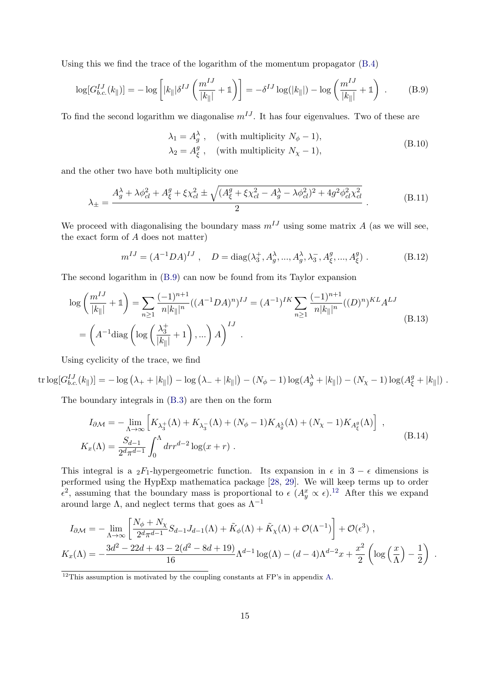Using this we find the trace of the logarithm of the momentum propagator [\(B.4\)](#page-14-2)

<span id="page-15-0"></span>
$$
\log[G_{b.c.}^{IJ}(k_{\parallel})] = -\log\left[|k_{\parallel}|\delta^{IJ}\left(\frac{m^{IJ}}{|k_{\parallel}|} + 1\right)\right] = -\delta^{IJ}\log(|k_{\parallel}|) - \log\left(\frac{m^{IJ}}{|k_{\parallel}|} + 1\right) .
$$
 (B.9)

To find the second logarithm we diagonalise  $m^{IJ}$ . It has four eigenvalues. Two of these are

$$
\lambda_1 = A_g^{\lambda} , \quad \text{(with multiplicity } N_{\phi} - 1),
$$
\n
$$
\lambda_2 = A_{\xi}^g , \quad \text{(with multiplicity } N_{\chi} - 1), \tag{B.10}
$$

and the other two have both multiplicity one

$$
\lambda_{\pm} = \frac{A_g^{\lambda} + \lambda \phi_{cl}^2 + A_{\xi}^g + \xi \chi_{cl}^2 \pm \sqrt{(A_{\xi}^g + \xi \chi_{cl}^2 - A_g^{\lambda} - \lambda \phi_{cl}^2)^2 + 4g^2 \phi_{cl}^2 \chi_{cl}^2}}{2} \,. \tag{B.11}
$$

We proceed with diagonalising the boundary mass  $m^{IJ}$  using some matrix A (as we will see, the exact form of A does not matter)

$$
m^{IJ} = (A^{-1}DA)^{IJ}, \quad D = \text{diag}(\lambda_3^+, A_g^{\lambda}, ..., A_g^{\lambda}, \lambda_3^-, A_g^g, ..., A_g^g) .
$$
 (B.12)

The second logarithm in [\(B.9\)](#page-15-0) can now be found from its Taylor expansion

$$
\log\left(\frac{m^{IJ}}{|k_{\parallel}|}+1\right) = \sum_{n\geq 1} \frac{(-1)^{n+1}}{n|k_{\parallel}|^n} ((A^{-1}DA)^n)^{IJ} = (A^{-1})^{IK} \sum_{n\geq 1} \frac{(-1)^{n+1}}{n|k_{\parallel}|^n} ((D)^n)^{KL} A^{LJ}
$$
\n
$$
= \left(A^{-1} \text{diag}\left(\log\left(\frac{\lambda_3^+}{|k_{\parallel}|}+1\right),\ldots\right) A\right)^{IJ} . \tag{B.13}
$$

Using cyclicity of the trace, we find

 $\text{tr}\log[G_{b.c.}^{IJ}(k_{\parallel})]=-\log(\lambda_{+}+|k_{\parallel}|)-\log(\lambda_{-}+|k_{\parallel}|)-(N_{\phi}-1)\log(A_g^{\lambda}+|k_{\parallel}|)-(N_{\chi}-1)\log(A_g^g+|k_{\parallel}|)$ .

The boundary integrals in [\(B.3\)](#page-14-1) are then on the form

$$
I_{\partial M} = -\lim_{\Lambda \to \infty} \left[ K_{\lambda_3^+}(\Lambda) + K_{\lambda_3^-}(\Lambda) + (N_{\phi} - 1) K_{A_g^{\lambda}}(\Lambda) + (N_{\chi} - 1) K_{A_g^g}(\Lambda) \right],
$$
  
\n
$$
K_x(\Lambda) = \frac{S_{d-1}}{2^d \pi^{d-1}} \int_0^{\Lambda} dr r^{d-2} \log(x + r).
$$
\n(B.14)

This integral is a  $2F_1$ -hypergeometric function. Its expansion in  $\epsilon$  in  $3 - \epsilon$  dimensions is performed using the HypExp mathematica package [\[28,](#page-17-10) [29\]](#page-17-11). We will keep terms up to order  $\epsilon^2$ , assuming that the boundary mass is proportional to  $\epsilon$   $(A_y^x \propto \epsilon).^{12}$  $(A_y^x \propto \epsilon).^{12}$  $(A_y^x \propto \epsilon).^{12}$  After this we expand around large  $\Lambda$ , and neglect terms that goes as  $\Lambda^{-1}$ 

$$
I_{\partial\mathcal{M}} = -\lim_{\Lambda \to \infty} \left[ \frac{N_{\phi} + N_{\chi}}{2^{d} \pi^{d-1}} S_{d-1} J_{d-1}(\Lambda) + \tilde{K}_{\phi}(\Lambda) + \tilde{K}_{\chi}(\Lambda) + \mathcal{O}(\Lambda^{-1}) \right] + \mathcal{O}(\epsilon^{3}),
$$
  

$$
K_{x}(\Lambda) = -\frac{3d^{2} - 22d + 43 - 2(d^{2} - 8d + 19)}{16} \Lambda^{d-1} \log(\Lambda) - (d - 4)\Lambda^{d-2} x + \frac{x^{2}}{2} \left( \log\left(\frac{x}{\Lambda}\right) - \frac{1}{2} \right).
$$

<span id="page-15-1"></span> $\frac{12}{12}$ This assumption is motivated by the coupling constants at FP's in appendix [A.](#page-12-0)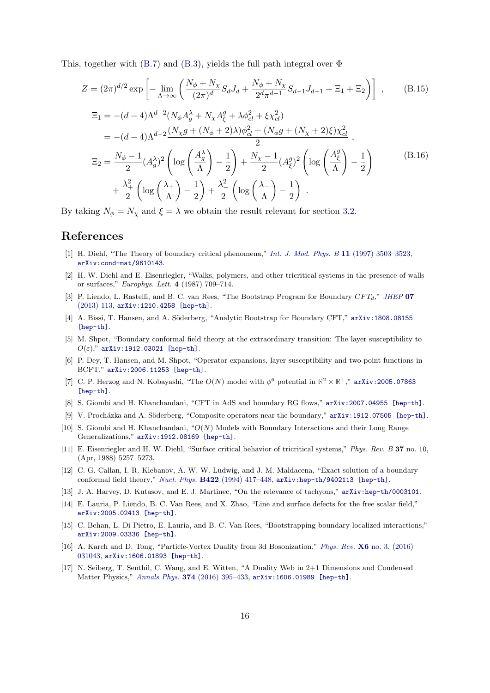This, together with  $(B.7)$  and  $(B.3)$ , yields the full path integral over  $\Phi$ 

$$
Z = (2\pi)^{d/2} \exp\left[-\lim_{\Lambda \to \infty} \left(\frac{N_{\phi} + N_{\chi}}{(2\pi)^{d}} S_{d} J_{d} + \frac{N_{\phi} + N_{\chi}}{2^{d} \pi^{d-1}} S_{d-1} J_{d-1} + \Xi_{1} + \Xi_{2}\right)\right],
$$
(B.15)  
\n
$$
\Xi_{1} = -(d-4)\Lambda^{d-2} (N_{\phi} A_{g}^{\lambda} + N_{\chi} A_{\xi}^{g} + \lambda \phi_{cl}^{2} + \xi \chi_{cl}^{2})
$$
\n
$$
= -(d-4)\Lambda^{d-2} \frac{(N_{\chi} g + (N_{\phi} + 2)\lambda)\phi_{cl}^{2} + (N_{\phi} g + (N_{\chi} + 2)\xi)\chi_{cl}^{2}}{2},
$$
\n
$$
\Xi_{2} = \frac{N_{\phi} - 1}{2} (A_{g}^{\lambda})^{2} \left(\log\left(\frac{A_{g}^{\lambda}}{\Lambda}\right) - \frac{1}{2}\right) + \frac{N_{\chi} - 1}{2} (A_{\xi}^{g})^{2} \left(\log\left(\frac{A_{\xi}^{g}}{\Lambda}\right) - \frac{1}{2}\right)
$$
\n
$$
+ \frac{\lambda_{+}^{2}}{2} \left(\log\left(\frac{\lambda_{+}}{\Lambda}\right) - \frac{1}{2}\right) + \frac{\lambda_{-}^{2}}{2} \left(\log\left(\frac{\lambda_{-}}{\Lambda}\right) - \frac{1}{2}\right).
$$
\n(B.16)

By taking  $N_{\phi} = N_{\chi}$  and  $\xi = \lambda$  we obtain the result relevant for section [3.2.](#page-7-1)

#### References

- <span id="page-16-0"></span>[1] H. Diehl, "The Theory of boundary critical phenomena," [Int. J. Mod. Phys. B](http://dx.doi.org/10.1142/S0217979297001751) 11 (1997) 3503–3523, [arXiv:cond-mat/9610143](http://arxiv.org/abs/cond-mat/9610143).
- <span id="page-16-1"></span>[2] H. W. Diehl and E. Eisenriegler, "Walks, polymers, and other tricritical systems in the presence of walls or surfaces," Europhys. Lett. 4 (1987) 709–714.
- <span id="page-16-2"></span>[3] P. Liendo, L. Rastelli, and B. C. van Rees, "The Bootstrap Program for Boundary CFT<sub>d</sub>," [JHEP](http://dx.doi.org/10.1007/JHEP07(2013)113) 07 [\(2013\) 113,](http://dx.doi.org/10.1007/JHEP07(2013)113) [arXiv:1210.4258 \[hep-th\]](http://arxiv.org/abs/1210.4258).
- <span id="page-16-3"></span>[4] A. Bissi, T. Hansen, and A. Söderberg, "Analytic Bootstrap for Boundary CFT," [arXiv:1808.08155](http://arxiv.org/abs/1808.08155) [\[hep-th\]](http://arxiv.org/abs/1808.08155).
- <span id="page-16-4"></span>[5] M. Shpot, "Boundary conformal field theory at the extraordinary transition: The layer susceptibility to  $O(\varepsilon)$ ," [arXiv:1912.03021 \[hep-th\]](http://arxiv.org/abs/1912.03021).
- <span id="page-16-5"></span>[6] P. Dey, T. Hansen, and M. Shpot, "Operator expansions, layer susceptibility and two-point functions in BCFT," [arXiv:2006.11253 \[hep-th\]](http://arxiv.org/abs/2006.11253).
- <span id="page-16-6"></span>[7] C. P. Herzog and N. Kobayashi, "The  $O(N)$  model with  $\phi^6$  potential in  $\mathbb{R}^2 \times \mathbb{R}^+$ ," [arXiv:2005.07863](http://arxiv.org/abs/2005.07863) [\[hep-th\]](http://arxiv.org/abs/2005.07863).
- <span id="page-16-7"></span>[8] S. Giombi and H. Khanchandani, "CFT in AdS and boundary RG flows," [arXiv:2007.04955 \[hep-th\]](http://arxiv.org/abs/2007.04955).
- <span id="page-16-8"></span>[9] V. Procházka and A. Söderberg, "Composite operators near the boundary," [arXiv:1912.07505 \[hep-th\]](http://arxiv.org/abs/1912.07505).
- <span id="page-16-9"></span>[10] S. Giombi and H. Khanchandani, "O(N) Models with Boundary Interactions and their Long Range Generalizations," [arXiv:1912.08169 \[hep-th\]](http://arxiv.org/abs/1912.08169).
- <span id="page-16-10"></span>[11] E. Eisenriegler and H. W. Diehl, "Surface critical behavior of tricritical systems," Phys. Rev. B 37 no. 10, (Apr, 1988) 5257–5273.
- <span id="page-16-11"></span>[12] C. G. Callan, I. R. Klebanov, A. W. W. Ludwig, and J. M. Maldacena, "Exact solution of a boundary conformal field theory," Nucl. Phys. B422 [\(1994\) 417–448,](http://dx.doi.org/10.1016/0550-3213(94)90440-5) [arXiv:hep-th/9402113 \[hep-th\]](http://arxiv.org/abs/hep-th/9402113).
- <span id="page-16-12"></span>[13] J. A. Harvey, D. Kutasov, and E. J. Martinec, "On the relevance of tachyons," [arXiv:hep-th/0003101](http://arxiv.org/abs/hep-th/0003101).
- <span id="page-16-13"></span>[14] E. Lauria, P. Liendo, B. C. Van Rees, and X. Zhao, "Line and surface defects for the free scalar field," [arXiv:2005.02413 \[hep-th\]](http://arxiv.org/abs/2005.02413).
- <span id="page-16-14"></span>[15] C. Behan, L. Di Pietro, E. Lauria, and B. C. Van Rees, "Bootstrapping boundary-localized interactions," [arXiv:2009.03336 \[hep-th\]](http://arxiv.org/abs/2009.03336).
- <span id="page-16-15"></span>[16] A. Karch and D. Tong, "Particle-Vortex Duality from 3d Bosonization," Phys. Rev. X6 [no. 3, \(2016\)](http://dx.doi.org/10.1103/PhysRevX.6.031043) [031043,](http://dx.doi.org/10.1103/PhysRevX.6.031043) [arXiv:1606.01893 \[hep-th\]](http://arxiv.org/abs/1606.01893).
- <span id="page-16-16"></span>[17] N. Seiberg, T. Senthil, C. Wang, and E. Witten, "A Duality Web in 2+1 Dimensions and Condensed Matter Physics," Annals Phys. 374 [\(2016\) 395–433,](http://dx.doi.org/10.1016/j.aop.2016.08.007) [arXiv:1606.01989 \[hep-th\]](http://arxiv.org/abs/1606.01989).